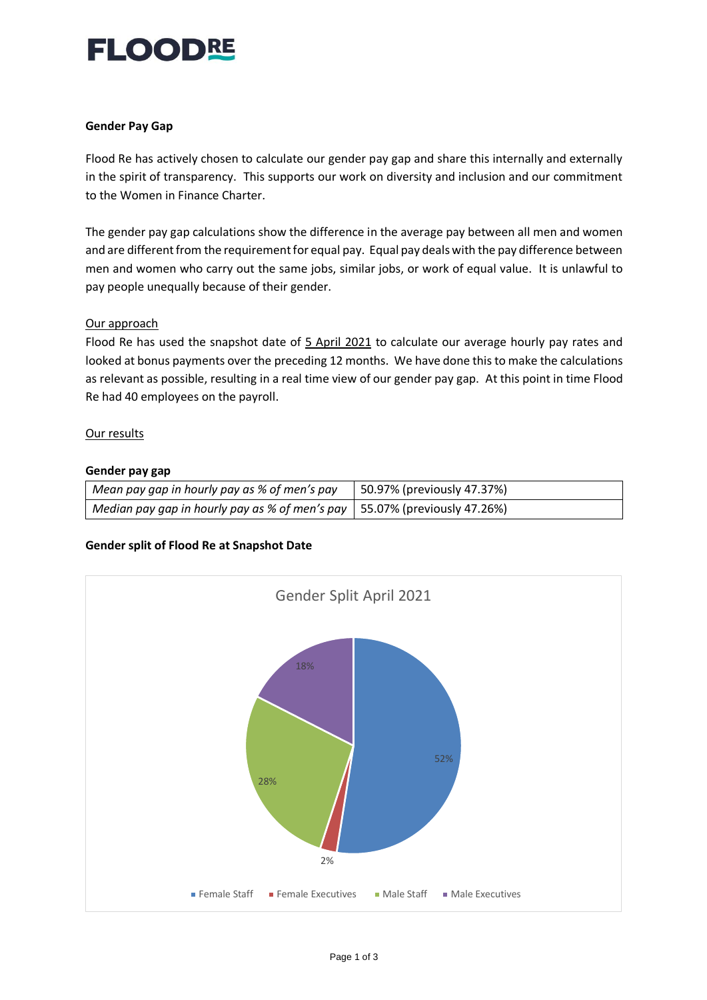## FLOODRE

#### **Gender Pay Gap**

Flood Re has actively chosen to calculate our gender pay gap and share this internally and externally in the spirit of transparency. This supports our work on diversity and inclusion and our commitment to the Women in Finance Charter.

The gender pay gap calculations show the difference in the average pay between all men and women and are different from the requirement for equal pay. Equal pay deals with the pay difference between men and women who carry out the same jobs, similar jobs, or work of equal value. It is unlawful to pay people unequally because of their gender.

#### Our approach

Flood Re has used the snapshot date of 5 April 2021 to calculate our average hourly pay rates and looked at bonus payments over the preceding 12 months. We have done this to make the calculations as relevant as possible, resulting in a real time view of our gender pay gap. At this point in time Flood Re had 40 employees on the payroll.

#### Our results

#### **Gender pay gap**

| Mean pay gap in hourly pay as % of men's pay                                | 50.97% (previously 47.37%) |
|-----------------------------------------------------------------------------|----------------------------|
| Median pay gap in hourly pay as % of men's pay   55.07% (previously 47.26%) |                            |

## **Gender split of Flood Re at Snapshot Date**

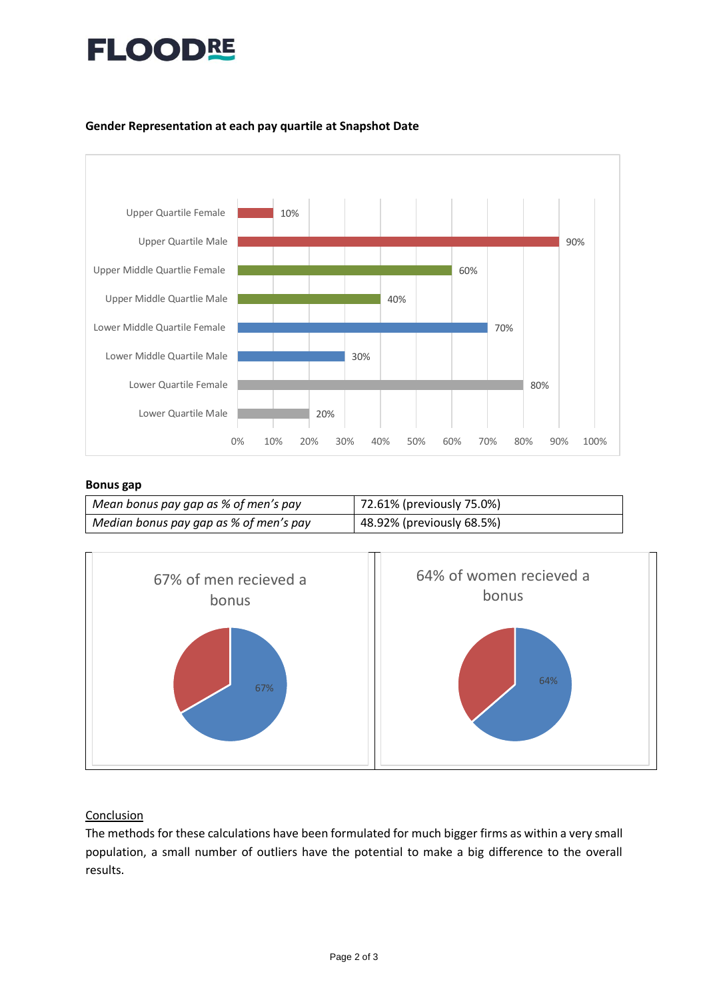# **FLOODRE**

#### **Gender Representation at each pay quartile at Snapshot Date**



#### **Bonus gap**

| Mean bonus pay gap as % of men's pay   | 72.61% (previously 75.0%) |
|----------------------------------------|---------------------------|
| Median bonus pay gap as % of men's pay | 48.92% (previously 68.5%) |



## Conclusion

The methods for these calculations have been formulated for much bigger firms as within a very small population, a small number of outliers have the potential to make a big difference to the overall results.